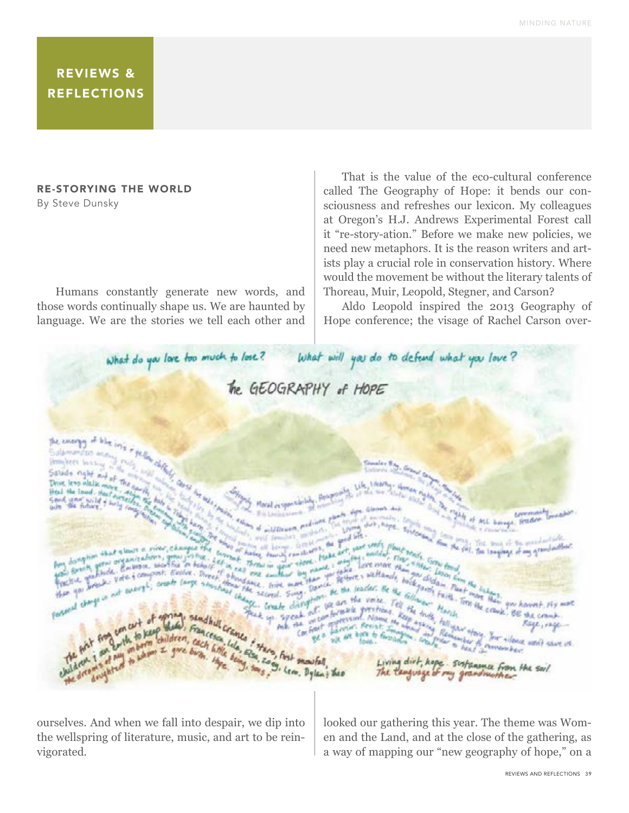## REVIEWS & REFLECTIONS

## RE-STORYING THE WORLD

By Steve Dunsky

Humans constantly generate new words, and those words continually shape us. We are haunted by language. We are the stories we tell each other and

That is the value of the eco-cultural conference called The Geography of Hope: it bends our consciousness and refreshes our lexicon. My colleagues at Oregon's H.J. Andrews Experimental Forest call it "re-story-ation." Before we make new policies, we need new metaphors. It is the reason writers and artists play a crucial role in conservation history. Where would the movement be without the literary talents of Thoreau, Muir, Leopold, Stegner, and Carson?

Aldo Leopold inspired the 2013 Geography of Hope conference; the visage of Rachel Carson over-



ourselves. And when we fall into despair, we dip into the wellspring of literature, music, and art to be reinvigorated.

looked our gathering this year. The theme was Women and the Land, and at the close of the gathering, as a way of mapping our "new geography of hope," on a